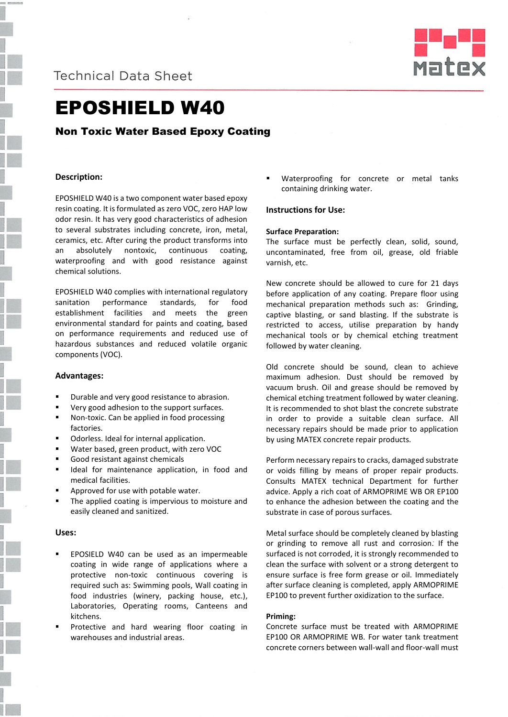



# EPOSHIELD W40

# Non Toxic Water Based Epoxy Coating

# **Description:**

EPOSHIELD W40 is a two component water based epoxy resin coating. It is formulated as zero VOC, zero HAP low odor resin. It has very good characteristics of adhesion to several substrates including concrete, iron, metal, ceramics, etc. After curing the product transforms into an absolutely nontoxic, continuous coating, waterproofing and with good resistance against chemical solutions.

EPOSHIELD W40 complies with international regulatory sanitation performance standards, for food establishment facilities and meets the green environmental standard for paints and coating, based on performance requirements and reduced use of hazardous substances and reduced volatile organic components (VOC).

## **Advantages:**

- Durable and very good resistance to abrasion.
- Very good adhesion to the support surfaces.
- Non-toxic. Can be applied in food processing factories.
- Odorless. Ideal for internal application.
- Water based, green product, with zero VOC
- Good resistant against chemicals
- Ideal for maintenance application, in food and medical facilities.
- Approved for use with potable water.
- The applied coating is impervious to moisture and easily cleaned and sanitized.

# **Uses:**

- EPOSIELD W40 can be used as an impermeable coating in wide range of applications where a protective non-toxic continuous covering is required such as: Swimming pools, Wall coating in food industries (winery, packing house, etc.), Laboratories, Operating rooms, Canteens and kitchens.
- Protective and hard wearing floor coating in warehouses and industrial areas.

 Waterproofing for concrete or metal tanks containing drinking water.

# **Instructions for Use:**

#### **Surface Preparation:**

The surface must be perfectly clean, solid, sound, uncontaminated, free from oil, grease, old friable varnish, etc.

New concrete should be allowed to cure for 21 days before application of any coating. Prepare floor using mechanical preparation methods such as: Grinding, captive blasting, or sand blasting. If the substrate is restricted to access, utilise preparation by handy mechanical tools or by chemical etching treatment followed by water cleaning.

Old concrete should be sound, clean to achieve maximum adhesion. Dust should be removed by vacuum brush. Oil and grease should be removed by chemical etching treatment followed by water cleaning. It is recommended to shot blast the concrete substrate in order to provide a suitable clean surface. All necessary repairs should be made prior to application by using MATEX concrete repair products.

Perform necessary repairs to cracks, damaged substrate or voids filling by means of proper repair products. Consults MATEX technical Department for further advice. Apply a rich coat of ARMOPRIME WB OR EP100 to enhance the adhesion between the coating and the substrate in case of porous surfaces.

Metal surface should be completely cleaned by blasting or grinding to remove all rust and corrosion. If the surfaced is not corroded, it is strongly recommended to clean the surface with solvent or a strong detergent to ensure surface is free form grease or oil. Immediately after surface cleaning is completed, apply ARMOPRIME EP100 to prevent further oxidization to the surface.

## **Priming:**

Concrete surface must be treated with ARMOPRIME EP100 OR ARMOPRIME WB. For water tank treatment concrete corners between wall-wall and floor-wall must